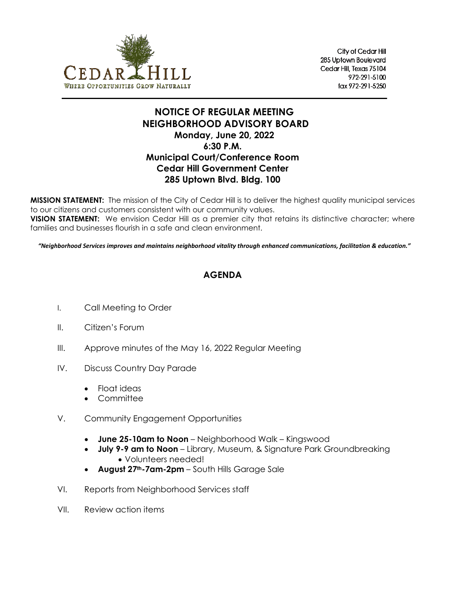

City of Cedar Hill 285 Uptown Boulevard Cedar Hill, Texas 75104 972-291-5100 fax 972-291-5250

## **NOTICE OF REGULAR MEETING NEIGHBORHOOD ADVISORY BOARD Monday, June 20, 2022 6:30 P.M. Municipal Court/Conference Room Cedar Hill Government Center 285 Uptown Blvd. Bldg. 100**

**MISSION STATEMENT:** The mission of the City of Cedar Hill is to deliver the highest quality municipal services to our citizens and customers consistent with our community values.

**VISION STATEMENT:** We envision Cedar Hill as a premier city that retains its distinctive character; where families and businesses flourish in a safe and clean environment.

*"Neighborhood Services improves and maintains neighborhood vitality through enhanced communications, facilitation & education."*

## **AGENDA**

- I. Call Meeting to Order
- II. Citizen's Forum
- III. Approve minutes of the May 16, 2022 Regular Meeting
- IV. Discuss Country Day Parade
	- Float ideas
	- Committee
- V. Community Engagement Opportunities
	- **June 25-10am to Noon** Neighborhood Walk Kingswood
	- **July 9-9 am to Noon** Library, Museum, & Signature Park Groundbreaking • Volunteers needed!
	- **August 27th-7am-2pm** South Hills Garage Sale
- VI. Reports from Neighborhood Services staff
- VII. Review action items